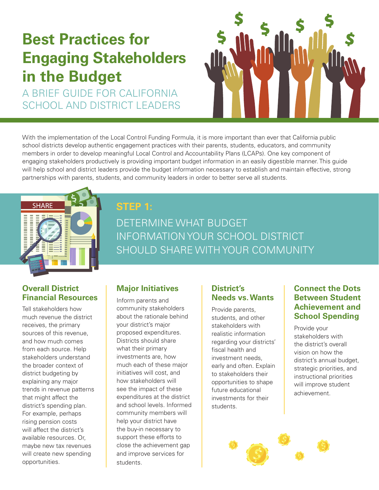# **Best Practices for Engaging Stakeholders in the Budget**

A BRIEF GUIDE FOR CALIFORNIA SCHOOL AND DISTRICT LEADERS



With the implementation of the Local Control Funding Formula, it is more important than ever that California public school districts develop authentic engagement practices with their parents, students, educators, and community members in order to develop meaningful Local Control and Accountability Plans (LCAPs). One key component of engaging stakeholders productively is providing important budget information in an easily digestible manner. This guide will help school and district leaders provide the budget information necessary to establish and maintain effective, strong partnerships with parents, students, and community leaders in order to better serve all students.



# **STEP 1:**

DETERMINE WHAT BUDGET INFORMATION YOUR SCHOOL DISTRICT SHOULD SHARE WITH YOUR COMMUNITY

#### **Overall District Financial Resources**

Tell stakeholders how much revenue the district receives, the primary sources of this revenue, and how much comes from each source. Help stakeholders understand the broader context of district budgeting by explaining any major trends in revenue patterns that might affect the district's spending plan. For example, perhaps rising pension costs will affect the district's available resources. Or, maybe new tax revenues will create new spending opportunities.

#### **Major Initiatives**

Inform parents and community stakeholders about the rationale behind your district's major proposed expenditures. Districts should share what their primary investments are, how much each of these major initiatives will cost, and how stakeholders will see the impact of these expenditures at the district and school levels. Informed community members will help your district have the buy-in necessary to support these efforts to close the achievement gap and improve services for students.

#### **District's Needs vs. Wants**

Provide parents, students, and other stakeholders with realistic information regarding your districts' fiscal health and investment needs, early and often. Explain to stakeholders their opportunities to shape future educational investments for their students.

#### **Connect the Dots Between Student Achievement and School Spending**

Provide your stakeholders with the district's overall vision on how the district's annual budget, strategic priorities, and instructional priorities will improve student achievement.